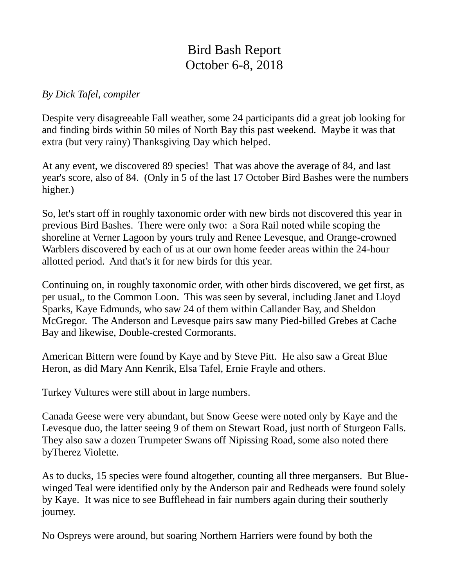## Bird Bash Report October 6-8, 2018

## *By Dick Tafel, compiler*

Despite very disagreeable Fall weather, some 24 participants did a great job looking for and finding birds within 50 miles of North Bay this past weekend. Maybe it was that extra (but very rainy) Thanksgiving Day which helped.

At any event, we discovered 89 species! That was above the average of 84, and last year's score, also of 84. (Only in 5 of the last 17 October Bird Bashes were the numbers higher.)

So, let's start off in roughly taxonomic order with new birds not discovered this year in previous Bird Bashes. There were only two: a Sora Rail noted while scoping the shoreline at Verner Lagoon by yours truly and Renee Levesque, and Orange-crowned Warblers discovered by each of us at our own home feeder areas within the 24-hour allotted period. And that's it for new birds for this year.

Continuing on, in roughly taxonomic order, with other birds discovered, we get first, as per usual,, to the Common Loon. This was seen by several, including Janet and Lloyd Sparks, Kaye Edmunds, who saw 24 of them within Callander Bay, and Sheldon McGregor. The Anderson and Levesque pairs saw many Pied-billed Grebes at Cache Bay and likewise, Double-crested Cormorants.

American Bittern were found by Kaye and by Steve Pitt. He also saw a Great Blue Heron, as did Mary Ann Kenrik, Elsa Tafel, Ernie Frayle and others.

Turkey Vultures were still about in large numbers.

Canada Geese were very abundant, but Snow Geese were noted only by Kaye and the Levesque duo, the latter seeing 9 of them on Stewart Road, just north of Sturgeon Falls. They also saw a dozen Trumpeter Swans off Nipissing Road, some also noted there byTherez Violette.

As to ducks, 15 species were found altogether, counting all three mergansers. But Bluewinged Teal were identified only by the Anderson pair and Redheads were found solely by Kaye. It was nice to see Bufflehead in fair numbers again during their southerly journey.

No Ospreys were around, but soaring Northern Harriers were found by both the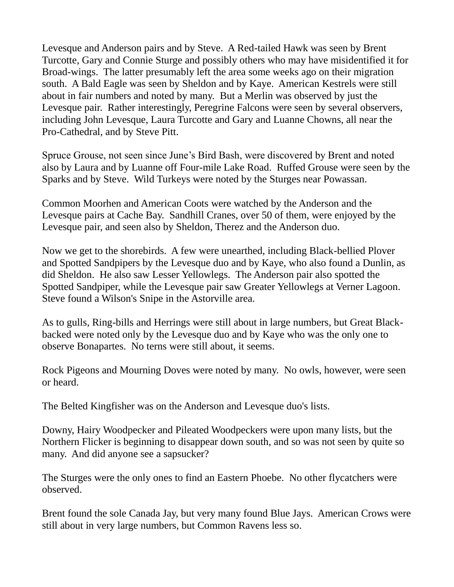Levesque and Anderson pairs and by Steve. A Red-tailed Hawk was seen by Brent Turcotte, Gary and Connie Sturge and possibly others who may have misidentified it for Broad-wings. The latter presumably left the area some weeks ago on their migration south. A Bald Eagle was seen by Sheldon and by Kaye. American Kestrels were still about in fair numbers and noted by many. But a Merlin was observed by just the Levesque pair. Rather interestingly, Peregrine Falcons were seen by several observers, including John Levesque, Laura Turcotte and Gary and Luanne Chowns, all near the Pro-Cathedral, and by Steve Pitt.

Spruce Grouse, not seen since June's Bird Bash, were discovered by Brent and noted also by Laura and by Luanne off Four-mile Lake Road. Ruffed Grouse were seen by the Sparks and by Steve. Wild Turkeys were noted by the Sturges near Powassan.

Common Moorhen and American Coots were watched by the Anderson and the Levesque pairs at Cache Bay. Sandhill Cranes, over 50 of them, were enjoyed by the Levesque pair, and seen also by Sheldon, Therez and the Anderson duo.

Now we get to the shorebirds. A few were unearthed, including Black-bellied Plover and Spotted Sandpipers by the Levesque duo and by Kaye, who also found a Dunlin, as did Sheldon. He also saw Lesser Yellowlegs. The Anderson pair also spotted the Spotted Sandpiper, while the Levesque pair saw Greater Yellowlegs at Verner Lagoon. Steve found a Wilson's Snipe in the Astorville area.

As to gulls, Ring-bills and Herrings were still about in large numbers, but Great Blackbacked were noted only by the Levesque duo and by Kaye who was the only one to observe Bonapartes. No terns were still about, it seems.

Rock Pigeons and Mourning Doves were noted by many. No owls, however, were seen or heard.

The Belted Kingfisher was on the Anderson and Levesque duo's lists.

Downy, Hairy Woodpecker and Pileated Woodpeckers were upon many lists, but the Northern Flicker is beginning to disappear down south, and so was not seen by quite so many. And did anyone see a sapsucker?

The Sturges were the only ones to find an Eastern Phoebe. No other flycatchers were observed.

Brent found the sole Canada Jay, but very many found Blue Jays. American Crows were still about in very large numbers, but Common Ravens less so.